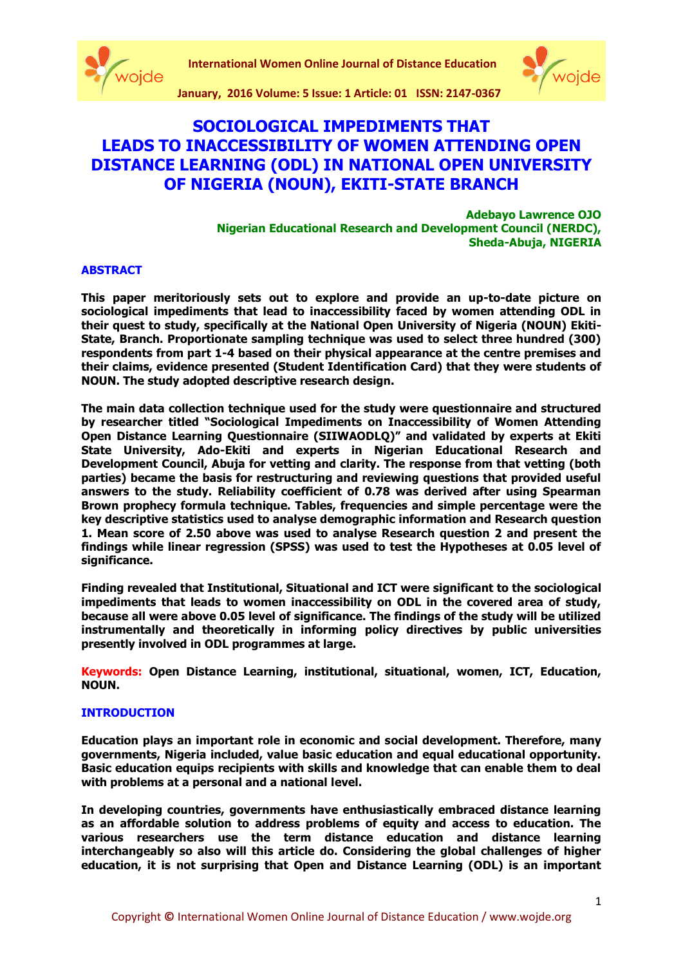



**January, 2016 Volume: 5 Issue: 1 Article: 01 ISSN: 2147-0367**

# **SOCIOLOGICAL IMPEDIMENTS THAT LEADS TO INACCESSIBILITY OF WOMEN ATTENDING OPEN DISTANCE LEARNING (ODL) IN NATIONAL OPEN UNIVERSITY OF NIGERIA (NOUN), EKITI-STATE BRANCH**

**Adebayo Lawrence OJO Nigerian Educational Research and Development Council (NERDC), Sheda-Abuja, NIGERIA**

# **ABSTRACT**

**This paper meritoriously sets out to explore and provide an up-to-date picture on sociological impediments that lead to inaccessibility faced by women attending ODL in their quest to study, specifically at the National Open University of Nigeria (NOUN) Ekiti-State, Branch. Proportionate sampling technique was used to select three hundred (300) respondents from part 1-4 based on their physical appearance at the centre premises and their claims, evidence presented (Student Identification Card) that they were students of NOUN. The study adopted descriptive research design.** 

**The main data collection technique used for the study were questionnaire and structured by researcher titled "Sociological Impediments on Inaccessibility of Women Attending Open Distance Learning Questionnaire (SIIWAODLQ)" and validated by experts at Ekiti State University, Ado-Ekiti and experts in Nigerian Educational Research and Development Council, Abuja for vetting and clarity. The response from that vetting (both parties) became the basis for restructuring and reviewing questions that provided useful answers to the study. Reliability coefficient of 0.78 was derived after using Spearman Brown prophecy formula technique. Tables, frequencies and simple percentage were the key descriptive statistics used to analyse demographic information and Research question 1. Mean score of 2.50 above was used to analyse Research question 2 and present the findings while linear regression (SPSS) was used to test the Hypotheses at 0.05 level of significance.** 

**Finding revealed that Institutional, Situational and ICT were significant to the sociological impediments that leads to women inaccessibility on ODL in the covered area of study, because all were above 0.05 level of significance. The findings of the study will be utilized instrumentally and theoretically in informing policy directives by public universities presently involved in ODL programmes at large.** 

**Keywords: Open Distance Learning, institutional, situational, women, ICT, Education, NOUN.**

# **INTRODUCTION**

**Education plays an important role in economic and social development. Therefore, many governments, Nigeria included, value basic education and equal educational opportunity. Basic education equips recipients with skills and knowledge that can enable them to deal with problems at a personal and a national level.** 

**In developing countries, governments have enthusiastically embraced distance learning as an affordable solution to address problems of equity and access to education. The various researchers use the term distance education and distance learning interchangeably so also will this article do. Considering the global challenges of higher education, it is not surprising that Open and Distance Learning (ODL) is an important**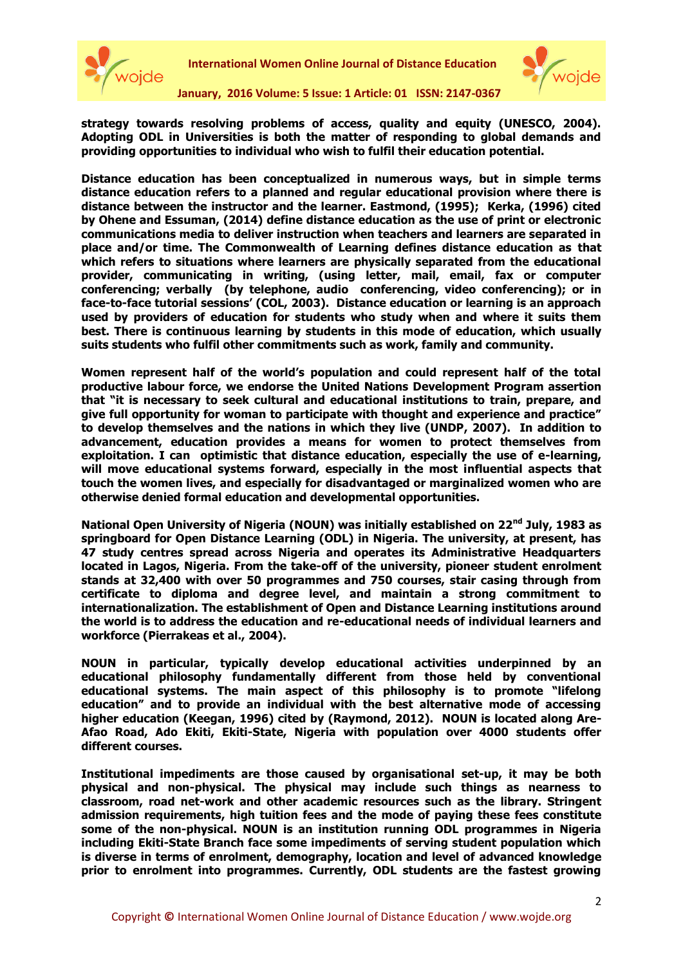



**strategy towards resolving problems of access, quality and equity (UNESCO, 2004). Adopting ODL in Universities is both the matter of responding to global demands and providing opportunities to individual who wish to fulfil their education potential.** 

**Distance education has been conceptualized in numerous ways, but in simple terms distance education refers to a planned and regular educational provision where there is distance between the instructor and the learner. Eastmond, (1995); Kerka, (1996) cited by Ohene and Essuman, (2014) define distance education as the use of print or electronic communications media to deliver instruction when teachers and learners are separated in place and/or time. The Commonwealth of Learning defines distance education as that which refers to situations where learners are physically separated from the educational provider, communicating in writing, (using letter, mail, email, fax or computer conferencing; verbally (by telephone, audio conferencing, video conferencing); or in face-to-face tutorial sessions' (COL, 2003). Distance education or learning is an approach used by providers of education for students who study when and where it suits them best. There is continuous learning by students in this mode of education, which usually suits students who fulfil other commitments such as work, family and community.**

**Women represent half of the world's population and could represent half of the total productive labour force, we endorse the United Nations Development Program assertion that "it is necessary to seek cultural and educational institutions to train, prepare, and give full opportunity for woman to participate with thought and experience and practice" to develop themselves and the nations in which they live (UNDP, 2007). In addition to advancement, education provides a means for women to protect themselves from exploitation. I can optimistic that distance education, especially the use of e-learning, will move educational systems forward, especially in the most influential aspects that touch the women lives, and especially for disadvantaged or marginalized women who are otherwise denied formal education and developmental opportunities.** 

**National Open University of Nigeria (NOUN) was initially established on 22nd July, 1983 as springboard for Open Distance Learning (ODL) in Nigeria. The university, at present, has 47 study centres spread across Nigeria and operates its Administrative Headquarters located in Lagos, Nigeria. From the take-off of the university, pioneer student enrolment stands at 32,400 with over 50 programmes and 750 courses, stair casing through from certificate to diploma and degree level, and maintain a strong commitment to internationalization. The establishment of Open and Distance Learning institutions around the world is to address the education and re-educational needs of individual learners and workforce (Pierrakeas et al., 2004).** 

**NOUN in particular, typically develop educational activities underpinned by an educational philosophy fundamentally different from those held by conventional educational systems. The main aspect of this philosophy is to promote "lifelong education" and to provide an individual with the best alternative mode of accessing higher education (Keegan, 1996) cited by (Raymond, 2012). NOUN is located along Are-Afao Road, Ado Ekiti, Ekiti-State, Nigeria with population over 4000 students offer different courses.**

**Institutional impediments are those caused by organisational set-up, it may be both physical and non-physical. The physical may include such things as nearness to classroom, road net-work and other academic resources such as the library. Stringent admission requirements, high tuition fees and the mode of paying these fees constitute some of the non-physical. NOUN is an institution running ODL programmes in Nigeria including Ekiti-State Branch face some impediments of serving student population which is diverse in terms of enrolment, demography, location and level of advanced knowledge prior to enrolment into programmes. Currently, ODL students are the fastest growing**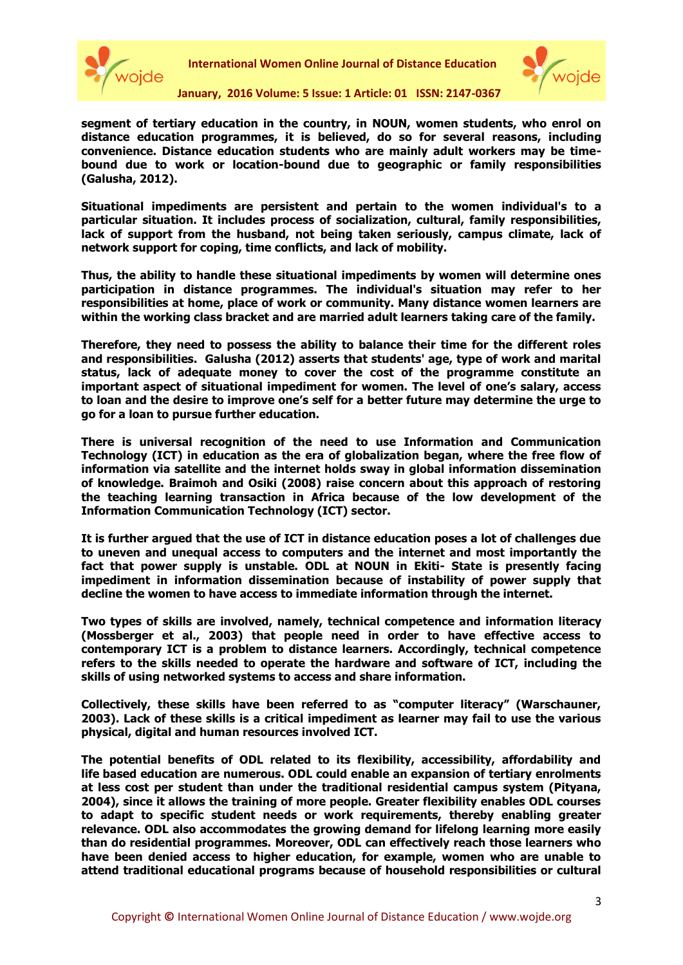



**segment of tertiary education in the country, in NOUN, women students, who enrol on distance education programmes, it is believed, do so for several reasons, including convenience. Distance education students who are mainly adult workers may be timebound due to work or location-bound due to geographic or family responsibilities (Galusha, 2012).** 

**Situational impediments are persistent and pertain to the women individual's to a particular situation. It includes process of socialization, cultural, family responsibilities, lack of support from the husband, not being taken seriously, campus climate, lack of network support for coping, time conflicts, and lack of mobility.** 

**Thus, the ability to handle these situational impediments by women will determine ones participation in distance programmes. The individual's situation may refer to her responsibilities at home, place of work or community. Many distance women learners are within the working class bracket and are married adult learners taking care of the family.** 

**Therefore, they need to possess the ability to balance their time for the different roles and responsibilities. Galusha (2012) asserts that students' age, type of work and marital status, lack of adequate money to cover the cost of the programme constitute an important aspect of situational impediment for women. The level of one's salary, access to loan and the desire to improve one's self for a better future may determine the urge to go for a loan to pursue further education.**

**There is universal recognition of the need to use Information and Communication Technology (ICT) in education as the era of globalization began, where the free flow of information via satellite and the internet holds sway in global information dissemination of knowledge. Braimoh and Osiki (2008) raise concern about this approach of restoring the teaching learning transaction in Africa because of the low development of the Information Communication Technology (ICT) sector.** 

**It is further argued that the use of ICT in distance education poses a lot of challenges due to uneven and unequal access to computers and the internet and most importantly the fact that power supply is unstable. ODL at NOUN in Ekiti- State is presently facing impediment in information dissemination because of instability of power supply that decline the women to have access to immediate information through the internet.** 

**Two types of skills are involved, namely, technical competence and information literacy (Mossberger et al., 2003) that people need in order to have effective access to contemporary ICT is a problem to distance learners. Accordingly, technical competence refers to the skills needed to operate the hardware and software of ICT, including the skills of using networked systems to access and share information.** 

**Collectively, these skills have been referred to as "computer literacy" (Warschauner, 2003). Lack of these skills is a critical impediment as learner may fail to use the various physical, digital and human resources involved ICT.**

**The potential benefits of ODL related to its flexibility, accessibility, affordability and life based education are numerous. ODL could enable an expansion of tertiary enrolments at less cost per student than under the traditional residential campus system (Pityana, 2004), since it allows the training of more people. Greater flexibility enables ODL courses to adapt to specific student needs or work requirements, thereby enabling greater relevance. ODL also accommodates the growing demand for lifelong learning more easily than do residential programmes. Moreover, ODL can effectively reach those learners who have been denied access to higher education, for example, women who are unable to attend traditional educational programs because of household responsibilities or cultural**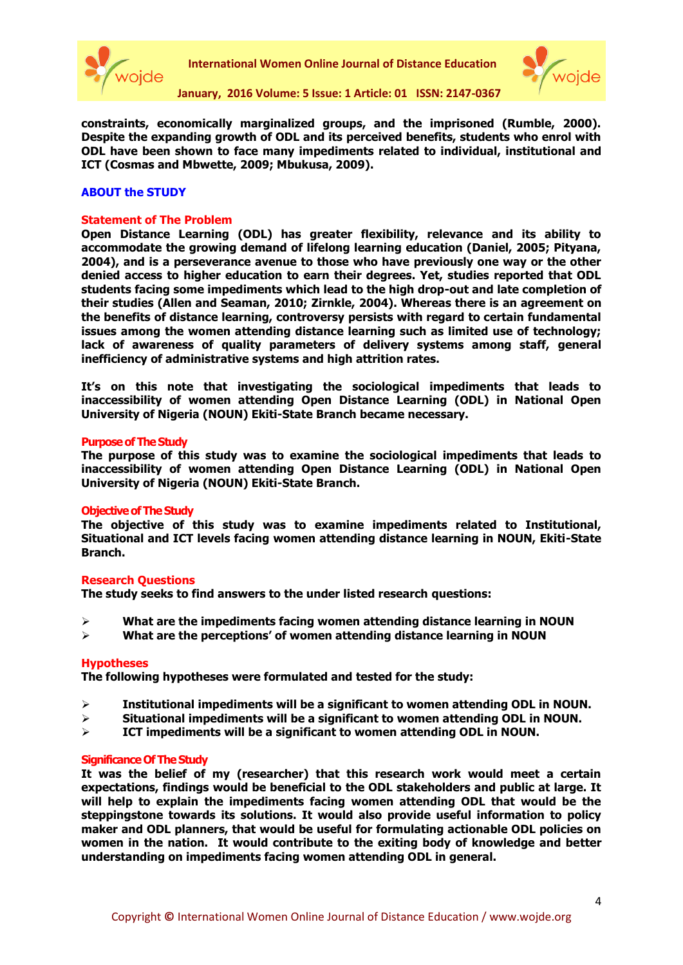



**constraints, economically marginalized groups, and the imprisoned (Rumble, 2000). Despite the expanding growth of ODL and its perceived benefits, students who enrol with ODL have been shown to face many impediments related to individual, institutional and ICT (Cosmas and Mbwette, 2009; Mbukusa, 2009).** 

# **ABOUT the STUDY**

#### **Statement of The Problem**

**Open Distance Learning (ODL) has greater flexibility, relevance and its ability to accommodate the growing demand of lifelong learning education (Daniel, 2005; Pityana, 2004), and is a perseverance avenue to those who have previously one way or the other denied access to higher education to earn their degrees. Yet, studies reported that ODL students facing some impediments which lead to the high drop-out and late completion of their studies (Allen and Seaman, 2010; Zirnkle, 2004). Whereas there is an agreement on the benefits of distance learning, controversy persists with regard to certain fundamental issues among the women attending distance learning such as limited use of technology; lack of awareness of quality parameters of delivery systems among staff, general inefficiency of administrative systems and high attrition rates.** 

**It's on this note that investigating the sociological impediments that leads to inaccessibility of women attending Open Distance Learning (ODL) in National Open University of Nigeria (NOUN) Ekiti-State Branch became necessary.**

#### **Purpose of The Study**

**The purpose of this study was to examine the sociological impediments that leads to inaccessibility of women attending Open Distance Learning (ODL) in National Open University of Nigeria (NOUN) Ekiti-State Branch.**

#### **Objective of The Study**

**The objective of this study was to examine impediments related to Institutional, Situational and ICT levels facing women attending distance learning in NOUN, Ekiti-State Branch.** 

#### **Research Questions**

**The study seeks to find answers to the under listed research questions:**

- **What are the impediments facing women attending distance learning in NOUN**
- **What are the perceptions' of women attending distance learning in NOUN**

#### **Hypotheses**

**The following hypotheses were formulated and tested for the study:**

- **Institutional impediments will be a significant to women attending ODL in NOUN.**
- **Situational impediments will be a significant to women attending ODL in NOUN.**
- **ICT impediments will be a significant to women attending ODL in NOUN.**

#### **Significance Of The Study**

**It was the belief of my (researcher) that this research work would meet a certain expectations, findings would be beneficial to the ODL stakeholders and public at large. It will help to explain the impediments facing women attending ODL that would be the steppingstone towards its solutions. It would also provide useful information to policy maker and ODL planners, that would be useful for formulating actionable ODL policies on women in the nation. It would contribute to the exiting body of knowledge and better understanding on impediments facing women attending ODL in general.**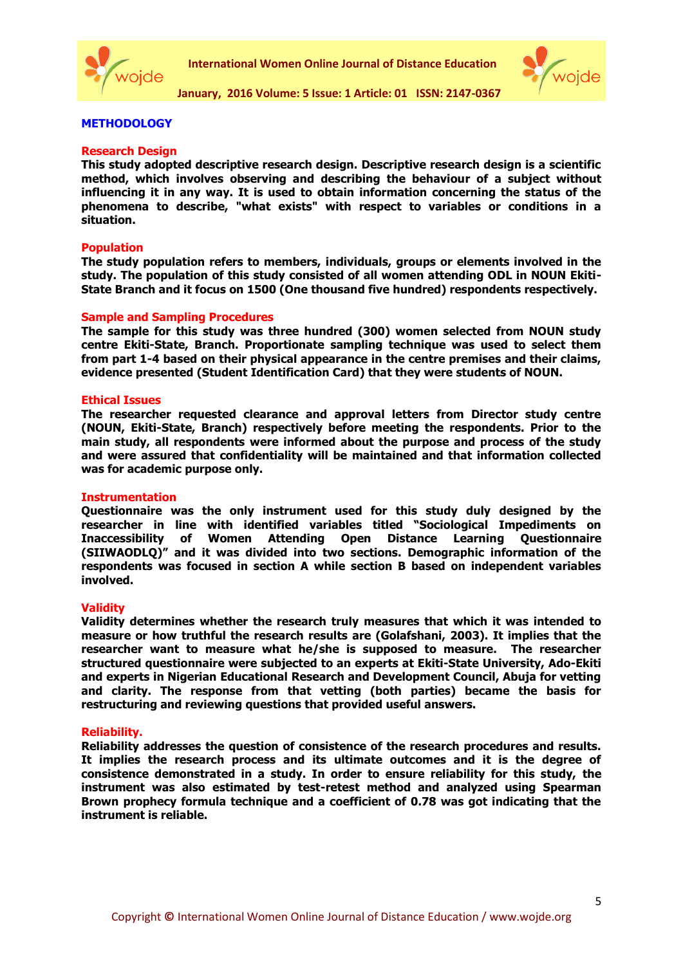



### **METHODOLOGY**

#### **Research Design**

**This study adopted descriptive research design. Descriptive research design is a scientific method, which involves observing and describing the behaviour of a subject without influencing it in any way. It is used to obtain information concerning the status of the phenomena to describe, "what exists" with respect to variables or conditions in a situation.**

### **Population**

**The study population refers to members, individuals, groups or elements involved in the study. The population of this study consisted of all women attending ODL in NOUN Ekiti-State Branch and it focus on 1500 (One thousand five hundred) respondents respectively.**

#### **Sample and Sampling Procedures**

**The sample for this study was three hundred (300) women selected from NOUN study centre Ekiti-State, Branch. Proportionate sampling technique was used to select them from part 1-4 based on their physical appearance in the centre premises and their claims, evidence presented (Student Identification Card) that they were students of NOUN.**

#### **Ethical Issues**

**The researcher requested clearance and approval letters from Director study centre (NOUN, Ekiti-State, Branch) respectively before meeting the respondents. Prior to the main study, all respondents were informed about the purpose and process of the study and were assured that confidentiality will be maintained and that information collected was for academic purpose only.** 

#### **Instrumentation**

**Questionnaire was the only instrument used for this study duly designed by the researcher in line with identified variables titled "Sociological Impediments on Inaccessibility of Women Attending Open Distance Learning Questionnaire (SIIWAODLQ)" and it was divided into two sections. Demographic information of the respondents was focused in section A while section B based on independent variables involved.** 

#### **Validity**

**Validity determines whether the research truly measures that which it was intended to measure or how truthful the research results are (Golafshani, 2003). It implies that the researcher want to measure what he/she is supposed to measure. The researcher structured questionnaire were subjected to an experts at Ekiti-State University, Ado-Ekiti and experts in Nigerian Educational Research and Development Council, Abuja for vetting and clarity. The response from that vetting (both parties) became the basis for restructuring and reviewing questions that provided useful answers.**

#### **Reliability.**

**Reliability addresses the question of consistence of the research procedures and results. It implies the research process and its ultimate outcomes and it is the degree of consistence demonstrated in a study. In order to ensure reliability for this study, the instrument was also estimated by test-retest method and analyzed using Spearman Brown prophecy formula technique and a coefficient of 0.78 was got indicating that the instrument is reliable.**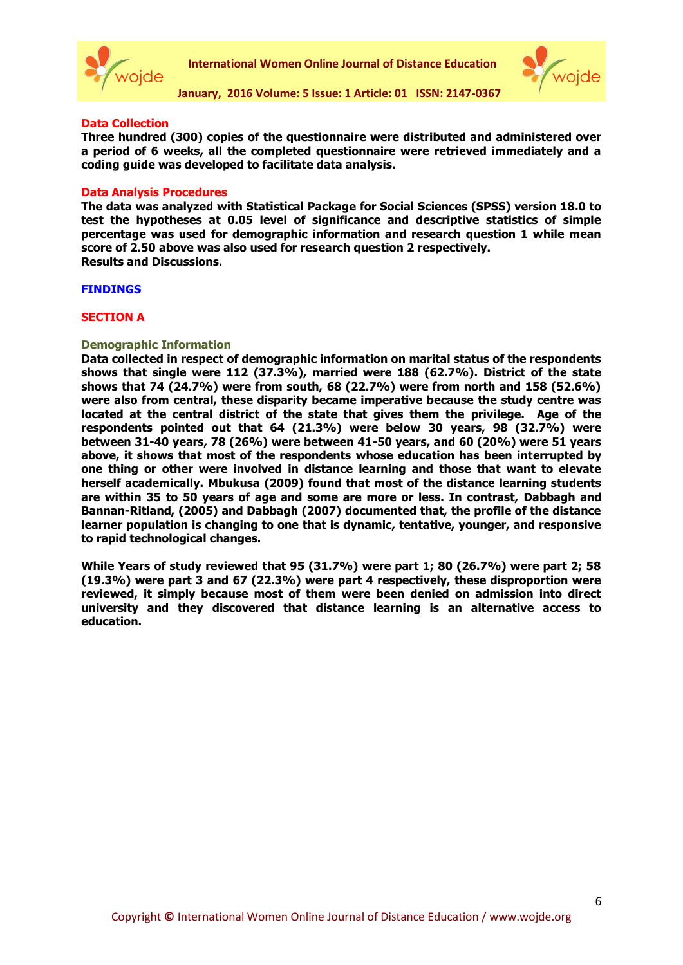



### **Data Collection**

**Three hundred (300) copies of the questionnaire were distributed and administered over a period of 6 weeks, all the completed questionnaire were retrieved immediately and a coding guide was developed to facilitate data analysis.**

#### **Data Analysis Procedures**

**The data was analyzed with Statistical Package for Social Sciences (SPSS) version 18.0 to test the hypotheses at 0.05 level of significance and descriptive statistics of simple percentage was used for demographic information and research question 1 while mean score of 2.50 above was also used for research question 2 respectively. Results and Discussions.**

#### **FINDINGS**

### **SECTION A**

# **Demographic Information**

**Data collected in respect of demographic information on marital status of the respondents shows that single were 112 (37.3%), married were 188 (62.7%). District of the state shows that 74 (24.7%) were from south, 68 (22.7%) were from north and 158 (52.6%) were also from central, these disparity became imperative because the study centre was located at the central district of the state that gives them the privilege. Age of the respondents pointed out that 64 (21.3%) were below 30 years, 98 (32.7%) were between 31-40 years, 78 (26%) were between 41-50 years, and 60 (20%) were 51 years above, it shows that most of the respondents whose education has been interrupted by one thing or other were involved in distance learning and those that want to elevate herself academically. Mbukusa (2009) found that most of the distance learning students are within 35 to 50 years of age and some are more or less. In contrast, Dabbagh and Bannan-Ritland, (2005) and Dabbagh (2007) documented that, the profile of the distance learner population is changing to one that is dynamic, tentative, younger, and responsive to rapid technological changes.** 

**While Years of study reviewed that 95 (31.7%) were part 1; 80 (26.7%) were part 2; 58 (19.3%) were part 3 and 67 (22.3%) were part 4 respectively, these disproportion were reviewed, it simply because most of them were been denied on admission into direct university and they discovered that distance learning is an alternative access to education.**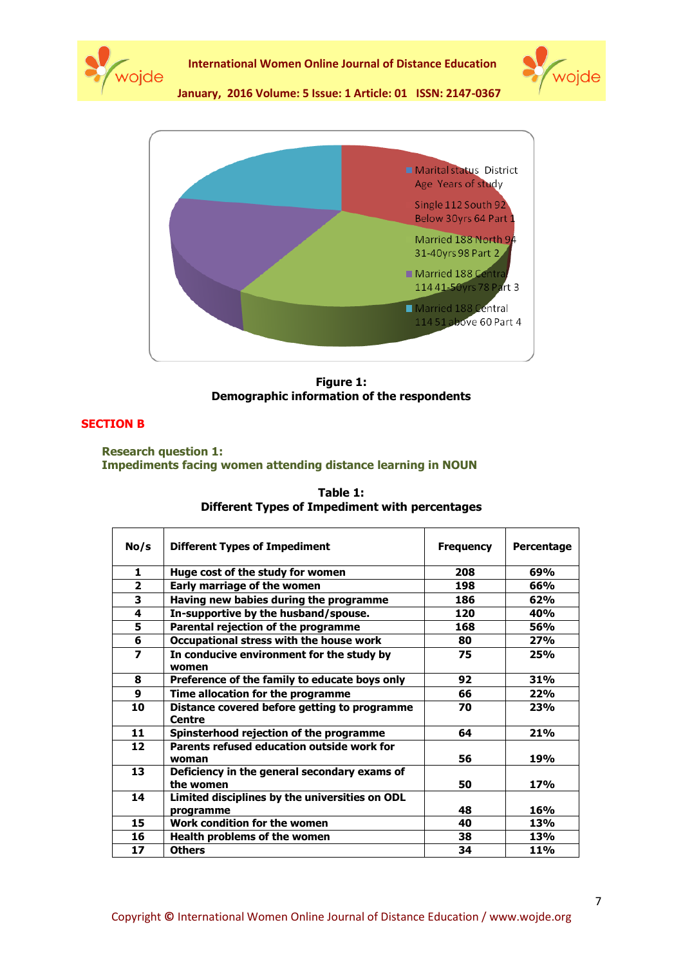





**Figure 1: Demographic information of the respondents**

# **SECTION B**

**Research question 1: Impediments facing women attending distance learning in NOUN**

| No/s           | <b>Different Types of Impediment</b>                          | <b>Frequency</b> | Percentage |
|----------------|---------------------------------------------------------------|------------------|------------|
| 1              | Huge cost of the study for women                              | 208              | 69%        |
| $\overline{2}$ | Early marriage of the women                                   | 198              | 66%        |
| 3              | Having new babies during the programme                        | 186              | 62%        |
| 4              | In-supportive by the husband/spouse.                          | 120              | 40%        |
| 5              | Parental rejection of the programme                           | 168              | 56%        |
| 6              | Occupational stress with the house work                       | 80               | 27%        |
| 7              | In conducive environment for the study by<br>women            | 75               | 25%        |
| 8              | Preference of the family to educate boys only                 | 92               | 31%        |
| 9              | Time allocation for the programme                             | 66               | 22%        |
| 10             | Distance covered before getting to programme<br><b>Centre</b> | 70               | <b>23%</b> |
| 11             | Spinsterhood rejection of the programme                       | 64               | 21%        |
| 12             | Parents refused education outside work for<br>woman           | 56               | 19%        |
| 13             | Deficiency in the general secondary exams of<br>the women     | 50               | 17%        |
| 14             | Limited disciplines by the universities on ODL                |                  |            |
|                | programme                                                     | 48               | <b>16%</b> |
| 15             | Work condition for the women                                  | 40               | 13%        |
| 16             | Health problems of the women                                  | 38               | 13%        |
| 17             | <b>Others</b>                                                 | 34               | <b>11%</b> |

| Table 1:                                       |
|------------------------------------------------|
| Different Types of Impediment with percentages |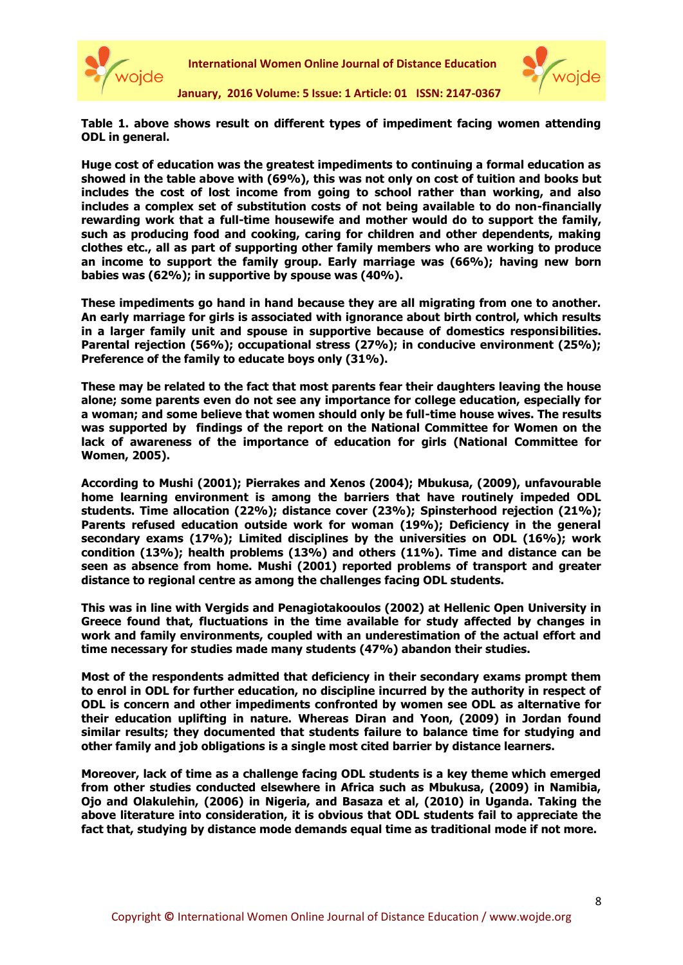



**Table 1. above shows result on different types of impediment facing women attending ODL in general.** 

**Huge cost of education was the greatest impediments to continuing a formal education as showed in the table above with (69%), this was not only on cost of tuition and books but includes the cost of lost income from going to school rather than working, and also includes a complex set of substitution costs of not being available to do non-financially rewarding work that a full-time housewife and mother would do to support the family, such as producing food and cooking, caring for children and other dependents, making clothes etc., all as part of supporting other family members who are working to produce an income to support the family group. Early marriage was (66%); having new born babies was (62%); in supportive by spouse was (40%).** 

**These impediments go hand in hand because they are all migrating from one to another. An early marriage for girls is associated with ignorance about birth control, which results in a larger family unit and spouse in supportive because of domestics responsibilities. Parental rejection (56%); occupational stress (27%); in conducive environment (25%); Preference of the family to educate boys only (31%).**

**These may be related to the fact that most parents fear their daughters leaving the house alone; some parents even do not see any importance for college education, especially for a woman; and some believe that women should only be full-time house wives. The results was supported by findings of the report on the National Committee for Women on the lack of awareness of the importance of education for girls (National Committee for Women, 2005).** 

**According to Mushi (2001); Pierrakes and Xenos (2004); Mbukusa, (2009), unfavourable home learning environment is among the barriers that have routinely impeded ODL students. Time allocation (22%); distance cover (23%); Spinsterhood rejection (21%); Parents refused education outside work for woman (19%); Deficiency in the general secondary exams (17%); Limited disciplines by the universities on ODL (16%); work condition (13%); health problems (13%) and others (11%). Time and distance can be seen as absence from home. Mushi (2001) reported problems of transport and greater distance to regional centre as among the challenges facing ODL students.** 

**This was in line with Vergids and Penagiotakooulos (2002) at Hellenic Open University in Greece found that, fluctuations in the time available for study affected by changes in work and family environments, coupled with an underestimation of the actual effort and time necessary for studies made many students (47%) abandon their studies.** 

**Most of the respondents admitted that deficiency in their secondary exams prompt them to enrol in ODL for further education, no discipline incurred by the authority in respect of ODL is concern and other impediments confronted by women see ODL as alternative for their education uplifting in nature. Whereas Diran and Yoon, (2009) in Jordan found similar results; they documented that students failure to balance time for studying and other family and job obligations is a single most cited barrier by distance learners.** 

**Moreover, lack of time as a challenge facing ODL students is a key theme which emerged from other studies conducted elsewhere in Africa such as Mbukusa, (2009) in Namibia, Ojo and Olakulehin, (2006) in Nigeria, and Basaza et al, (2010) in Uganda. Taking the above literature into consideration, it is obvious that ODL students fail to appreciate the fact that, studying by distance mode demands equal time as traditional mode if not more.**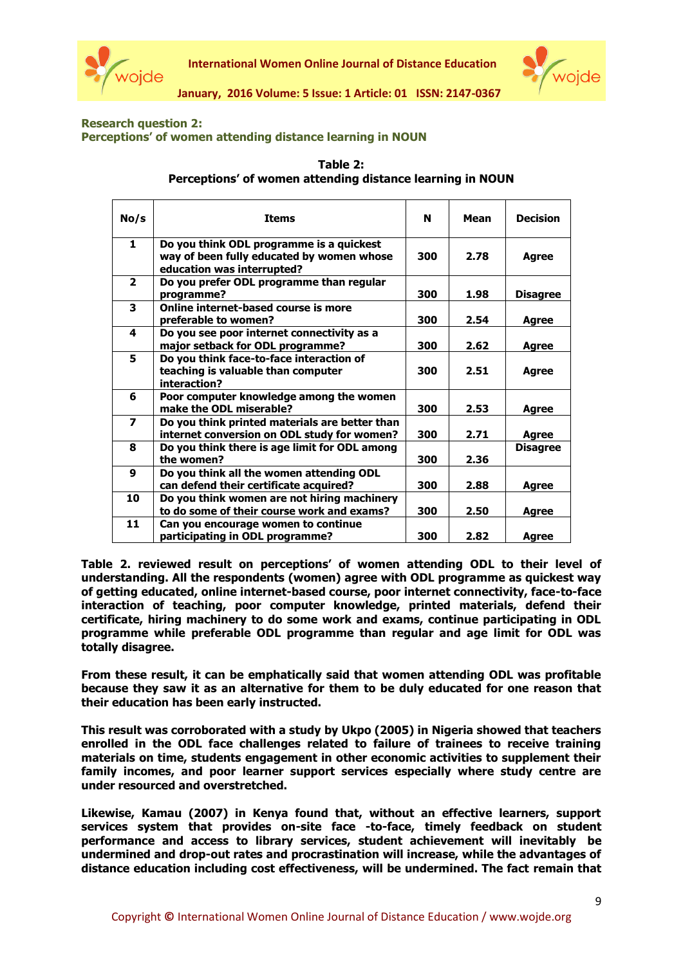



# **Research question 2: Perceptions' of women attending distance learning in NOUN**

| Table 2:                                                  |
|-----------------------------------------------------------|
| Perceptions' of women attending distance learning in NOUN |

| No/s                    | <b>Items</b>                                                                                                        | N   | Mean | <b>Decision</b> |
|-------------------------|---------------------------------------------------------------------------------------------------------------------|-----|------|-----------------|
| $\mathbf{1}$            | Do you think ODL programme is a quickest<br>way of been fully educated by women whose<br>education was interrupted? | 300 | 2.78 | Agree           |
| $\overline{2}$          | Do you prefer ODL programme than regular<br>programme?                                                              | 300 | 1.98 | <b>Disagree</b> |
| 3                       | Online internet-based course is more<br>preferable to women?                                                        | 300 | 2.54 | Agree           |
| 4                       | Do you see poor internet connectivity as a<br>major setback for ODL programme?                                      | 300 | 2.62 | Agree           |
| 5.                      | Do you think face-to-face interaction of<br>teaching is valuable than computer<br>interaction?                      | 300 | 2.51 | <b>Agree</b>    |
| 6                       | Poor computer knowledge among the women<br>make the ODL miserable?                                                  | 300 | 2.53 | <b>Agree</b>    |
| $\overline{\mathbf{z}}$ | Do you think printed materials are better than<br>internet conversion on ODL study for women?                       | 300 | 2.71 | Agree           |
| 8                       | Do you think there is age limit for ODL among<br>the women?                                                         | 300 | 2.36 | <b>Disagree</b> |
| 9                       | Do you think all the women attending ODL<br>can defend their certificate acquired?                                  | 300 | 2.88 | <b>Agree</b>    |
| 10                      | Do you think women are not hiring machinery<br>to do some of their course work and exams?                           | 300 | 2.50 | Agree           |
| 11                      | Can you encourage women to continue<br>participating in ODL programme?                                              | 300 | 2.82 | Agree           |

**Table 2. reviewed result on perceptions' of women attending ODL to their level of understanding. All the respondents (women) agree with ODL programme as quickest way of getting educated, online internet-based course, poor internet connectivity, face-to-face interaction of teaching, poor computer knowledge, printed materials, defend their certificate, hiring machinery to do some work and exams, continue participating in ODL programme while preferable ODL programme than regular and age limit for ODL was totally disagree.** 

**From these result, it can be emphatically said that women attending ODL was profitable because they saw it as an alternative for them to be duly educated for one reason that their education has been early instructed.** 

**This result was corroborated with a study by Ukpo (2005) in Nigeria showed that teachers enrolled in the ODL face challenges related to failure of trainees to receive training materials on time, students engagement in other economic activities to supplement their family incomes, and poor learner support services especially where study centre are under resourced and overstretched.**

**Likewise, Kamau (2007) in Kenya found that, without an effective learners, support services system that provides on-site face -to-face, timely feedback on student performance and access to library services, student achievement will inevitably be undermined and drop-out rates and procrastination will increase, while the advantages of distance education including cost effectiveness, will be undermined. The fact remain that**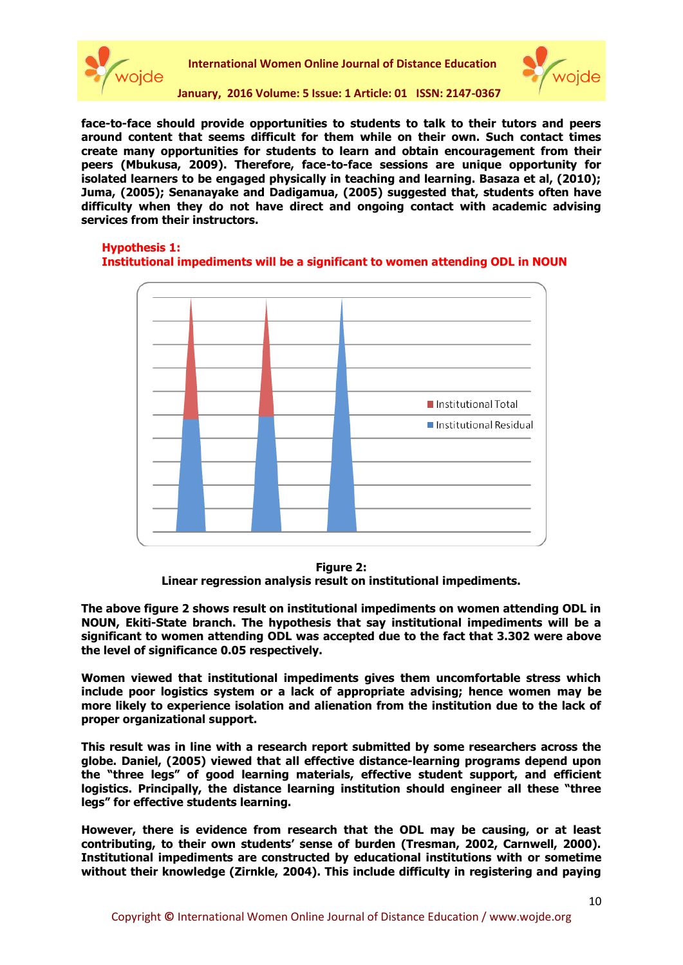



**face-to-face should provide opportunities to students to talk to their tutors and peers around content that seems difficult for them while on their own. Such contact times create many opportunities for students to learn and obtain encouragement from their peers (Mbukusa, 2009). Therefore, face-to-face sessions are unique opportunity for isolated learners to be engaged physically in teaching and learning. Basaza et al, (2010); Juma, (2005); Senanayake and Dadigamua, (2005) suggested that, students often have difficulty when they do not have direct and ongoing contact with academic advising services from their instructors.**

# **Hypothesis 1:**

# **Institutional impediments will be a significant to women attending ODL in NOUN**



**Figure 2: Linear regression analysis result on institutional impediments.**

**The above figure 2 shows result on institutional impediments on women attending ODL in NOUN, Ekiti-State branch. The hypothesis that say institutional impediments will be a significant to women attending ODL was accepted due to the fact that 3.302 were above the level of significance 0.05 respectively.** 

**Women viewed that institutional impediments gives them uncomfortable stress which include poor logistics system or a lack of appropriate advising; hence women may be more likely to experience isolation and alienation from the institution due to the lack of proper organizational support.** 

**This result was in line with a research report submitted by some researchers across the globe. Daniel, (2005) viewed that all effective distance-learning programs depend upon the "three legs" of good learning materials, effective student support, and efficient logistics. Principally, the distance learning institution should engineer all these "three legs" for effective students learning.** 

**However, there is evidence from research that the ODL may be causing, or at least contributing, to their own students' sense of burden (Tresman, 2002, Carnwell, 2000). Institutional impediments are constructed by educational institutions with or sometime without their knowledge (Zirnkle, 2004). This include difficulty in registering and paying**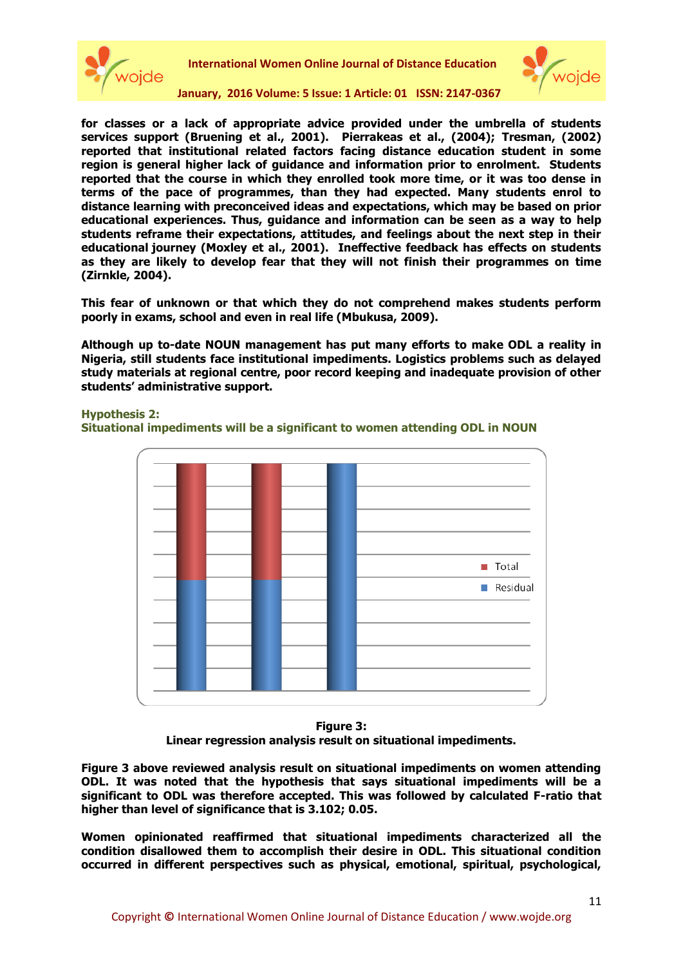



**January, 2016 Volume: 5 Issue: 1 Article: 01 ISSN: 2147-0367**

**for classes or a lack of appropriate advice provided under the umbrella of students services support (Bruening et al., 2001). Pierrakeas et al., (2004); Tresman, (2002) reported that institutional related factors facing distance education student in some region is general higher lack of guidance and information prior to enrolment. Students reported that the course in which they enrolled took more time, or it was too dense in terms of the pace of programmes, than they had expected. Many students enrol to distance learning with preconceived ideas and expectations, which may be based on prior educational experiences. Thus, guidance and information can be seen as a way to help students reframe their expectations, attitudes, and feelings about the next step in their educational journey (Moxley et al., 2001). Ineffective feedback has effects on students as they are likely to develop fear that they will not finish their programmes on time (Zirnkle, 2004).** 

**This fear of unknown or that which they do not comprehend makes students perform poorly in exams, school and even in real life (Mbukusa, 2009).** 

**Although up to-date NOUN management has put many efforts to make ODL a reality in Nigeria, still students face institutional impediments. Logistics problems such as delayed study materials at regional centre, poor record keeping and inadequate provision of other students' administrative support.** 

**Hypothesis 2:** 





**Figure 3: Linear regression analysis result on situational impediments.**

**Figure 3 above reviewed analysis result on situational impediments on women attending ODL. It was noted that the hypothesis that says situational impediments will be a significant to ODL was therefore accepted. This was followed by calculated F-ratio that higher than level of significance that is 3.102; 0.05.** 

**Women opinionated reaffirmed that situational impediments characterized all the condition disallowed them to accomplish their desire in ODL. This situational condition occurred in different perspectives such as physical, emotional, spiritual, psychological,**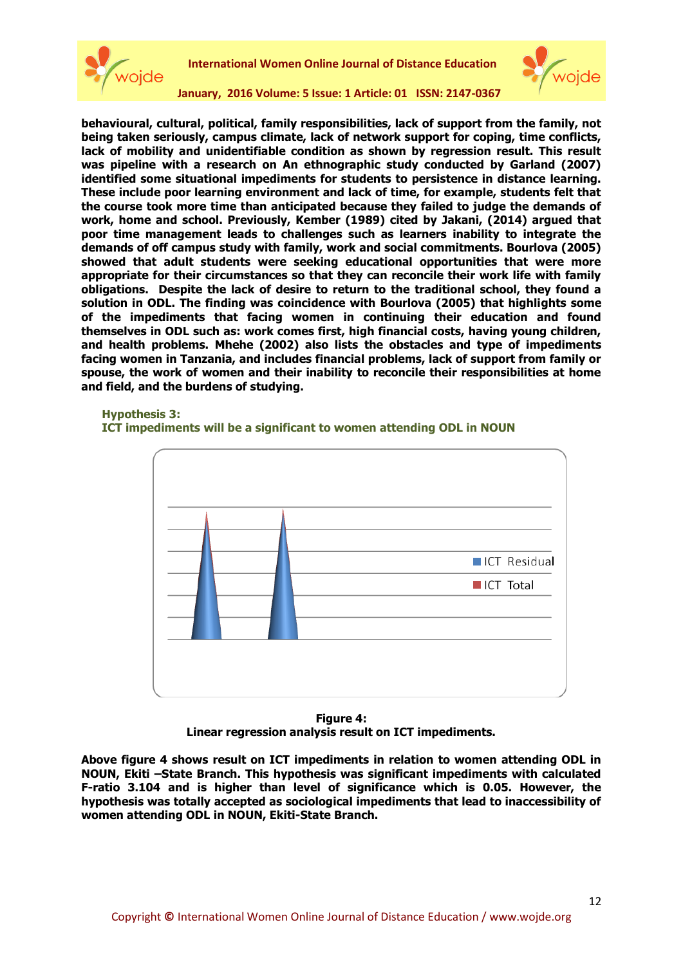



**behavioural, cultural, political, family responsibilities, lack of support from the family, not being taken seriously, campus climate, lack of network support for coping, time conflicts, lack of mobility and unidentifiable condition as shown by regression result. This result was pipeline with a research on An ethnographic study conducted by Garland (2007) identified some situational impediments for students to persistence in distance learning. These include poor learning environment and lack of time, for example, students felt that the course took more time than anticipated because they failed to judge the demands of work, home and school. Previously, Kember (1989) cited by Jakani, (2014) argued that poor time management leads to challenges such as learners inability to integrate the demands of off campus study with family, work and social commitments. Bourlova (2005) showed that adult students were seeking educational opportunities that were more appropriate for their circumstances so that they can reconcile their work life with family obligations. Despite the lack of desire to return to the traditional school, they found a solution in ODL. The finding was coincidence with Bourlova (2005) that highlights some of the impediments that facing women in continuing their education and found themselves in ODL such as: work comes first, high financial costs, having young children, and health problems. Mhehe (2002) also lists the obstacles and type of impediments facing women in Tanzania, and includes financial problems, lack of support from family or spouse, the work of women and their inability to reconcile their responsibilities at home and field, and the burdens of studying.**

#### **Hypothesis 3:**





**Figure 4: Linear regression analysis result on ICT impediments.**

**Above figure 4 shows result on ICT impediments in relation to women attending ODL in NOUN, Ekiti –State Branch. This hypothesis was significant impediments with calculated F-ratio 3.104 and is higher than level of significance which is 0.05. However, the hypothesis was totally accepted as sociological impediments that lead to inaccessibility of women attending ODL in NOUN, Ekiti-State Branch.**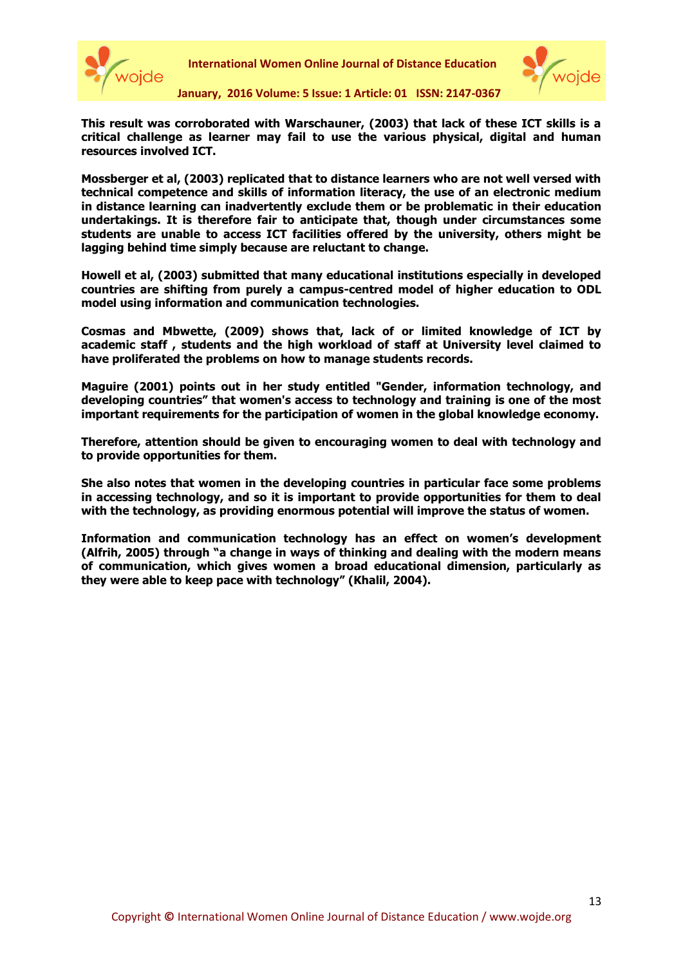



**This result was corroborated with Warschauner, (2003) that lack of these ICT skills is a critical challenge as learner may fail to use the various physical, digital and human resources involved ICT.** 

**Mossberger et al, (2003) replicated that to distance learners who are not well versed with technical competence and skills of information literacy, the use of an electronic medium in distance learning can inadvertently exclude them or be problematic in their education undertakings. It is therefore fair to anticipate that, though under circumstances some students are unable to access ICT facilities offered by the university, others might be lagging behind time simply because are reluctant to change.** 

**Howell et al, (2003) submitted that many educational institutions especially in developed countries are shifting from purely a campus-centred model of higher education to ODL model using information and communication technologies.** 

**Cosmas and Mbwette, (2009) shows that, lack of or limited knowledge of ICT by academic staff , students and the high workload of staff at University level claimed to have proliferated the problems on how to manage students records.** 

**Maguire (2001) points out in her study entitled "Gender, information technology, and developing countries" that women's access to technology and training is one of the most important requirements for the participation of women in the global knowledge economy.** 

**Therefore, attention should be given to encouraging women to deal with technology and to provide opportunities for them.** 

**She also notes that women in the developing countries in particular face some problems in accessing technology, and so it is important to provide opportunities for them to deal with the technology, as providing enormous potential will improve the status of women.** 

**Information and communication technology has an effect on women's development (Alfrih, 2005) through "a change in ways of thinking and dealing with the modern means of communication, which gives women a broad educational dimension, particularly as they were able to keep pace with technology" (Khalil, 2004).**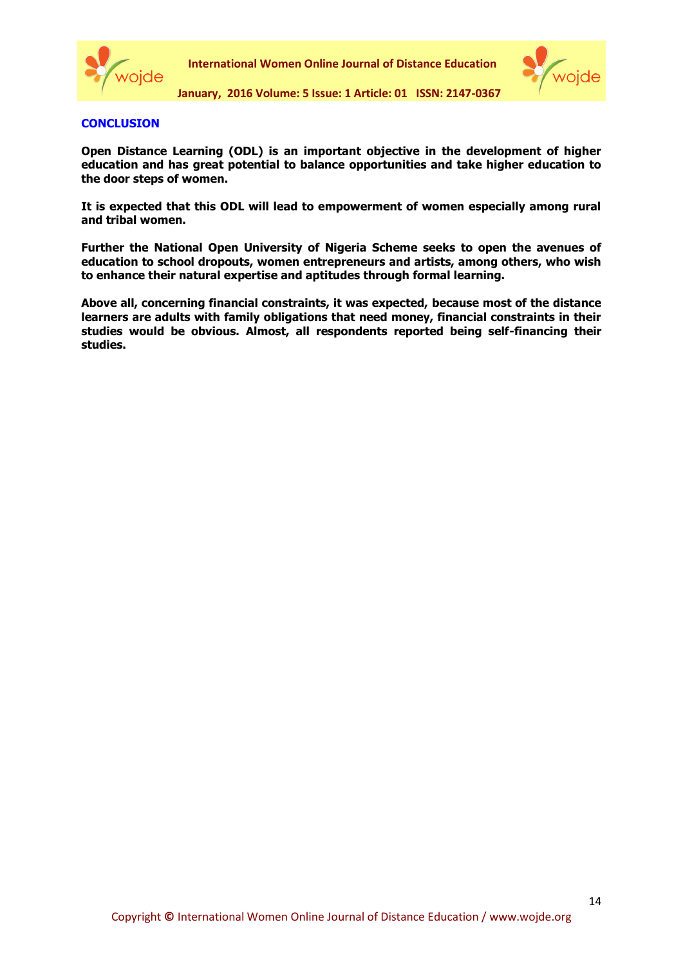



# **CONCLUSION**

**Open Distance Learning (ODL) is an important objective in the development of higher education and has great potential to balance opportunities and take higher education to the door steps of women.** 

**It is expected that this ODL will lead to empowerment of women especially among rural and tribal women.** 

**Further the National Open University of Nigeria Scheme seeks to open the avenues of education to school dropouts, women entrepreneurs and artists, among others, who wish to enhance their natural expertise and aptitudes through formal learning.**

**Above all, concerning financial constraints, it was expected, because most of the distance learners are adults with family obligations that need money, financial constraints in their studies would be obvious. Almost, all respondents reported being self-financing their studies.**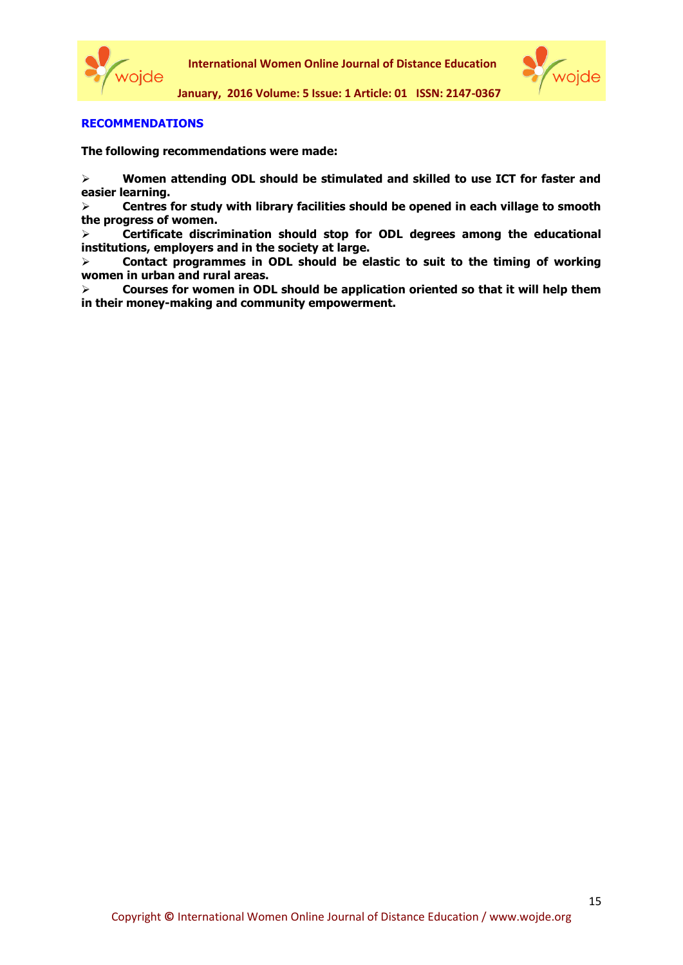



# **RECOMMENDATIONS**

**The following recommendations were made:**

 **Women attending ODL should be stimulated and skilled to use ICT for faster and easier learning.** 

 **Centres for study with library facilities should be opened in each village to smooth the progress of women.** 

 **Certificate discrimination should stop for ODL degrees among the educational institutions, employers and in the society at large.** 

 **Contact programmes in ODL should be elastic to suit to the timing of working women in urban and rural areas.** 

 **Courses for women in ODL should be application oriented so that it will help them in their money-making and community empowerment.**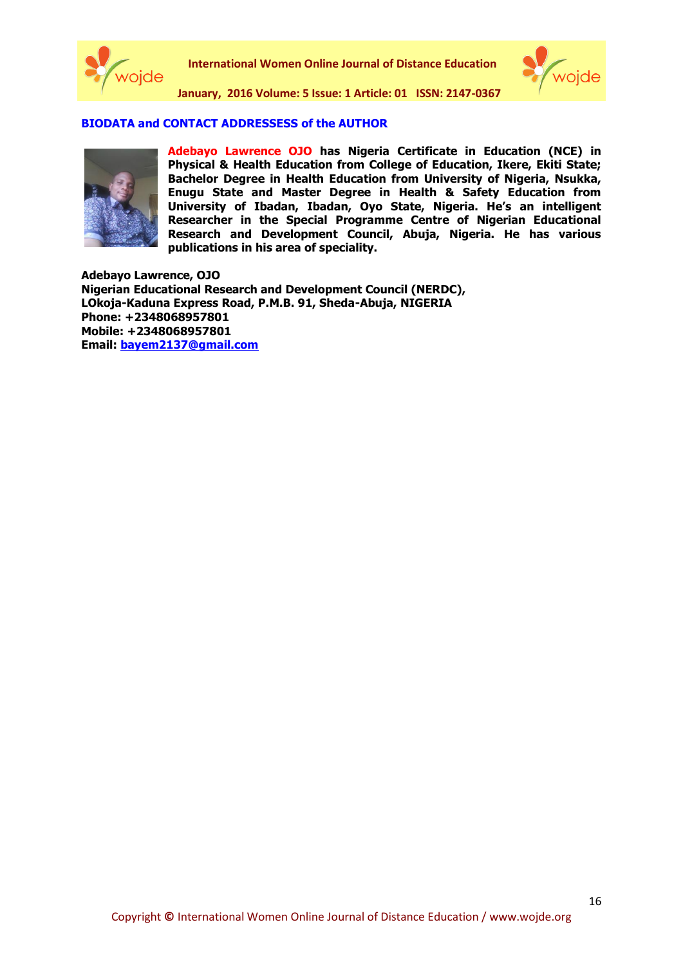



# **BIODATA and CONTACT ADDRESSESS of the AUTHOR**



**Adebayo Lawrence OJO has Nigeria Certificate in Education (NCE) in Physical & Health Education from College of Education, Ikere, Ekiti State; Bachelor Degree in Health Education from University of Nigeria, Nsukka, Enugu State and Master Degree in Health & Safety Education from University of Ibadan, Ibadan, Oyo State, Nigeria. He's an intelligent Researcher in the Special Programme Centre of Nigerian Educational Research and Development Council, Abuja, Nigeria. He has various publications in his area of speciality.**

**Adebayo Lawrence, OJO Nigerian Educational Research and Development Council (NERDC), LOkoja-Kaduna Express Road, P.M.B. 91, Sheda-Abuja, NIGERIA Phone: +2348068957801 Mobile: +2348068957801 Email: [bayem2137@gmail.com](mailto:bayem2137@gmail.com)**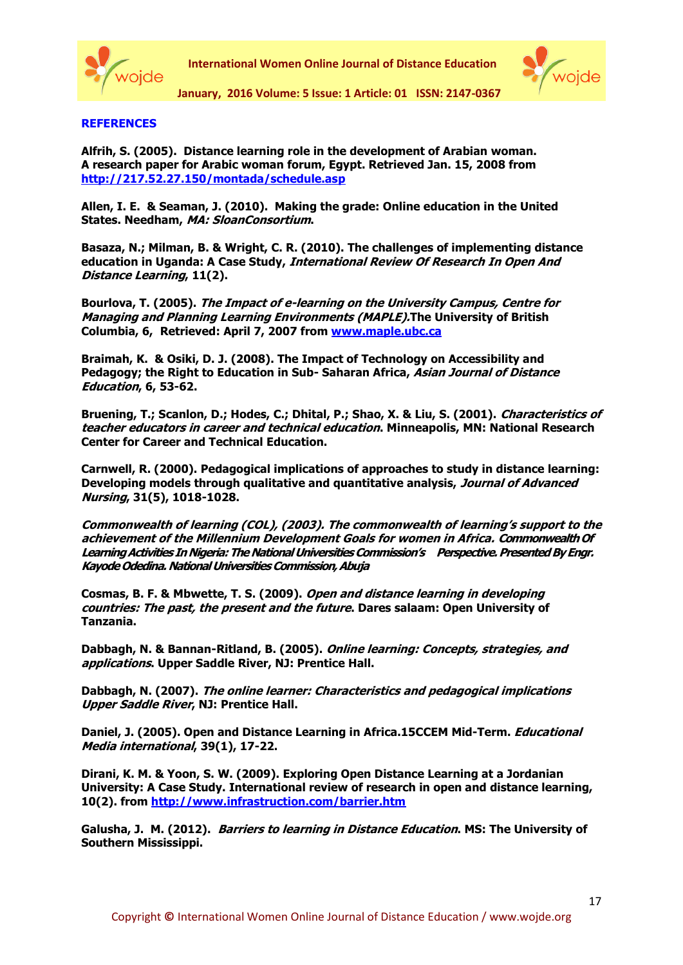



# **REFERENCES**

**Alfrih, S. (2005). Distance learning role in the development of Arabian woman. A research paper for Arabic woman forum, Egypt. Retrieved Jan. 15, 2008 from <http://217.52.27.150/montada/schedule.asp>**

**Allen, I. E. & Seaman, J. (2010). Making the grade: Online education in the United States. Needham, MA: SloanConsortium.**

**Basaza, N.; Milman, B. & Wright, C. R. (2010). The challenges of implementing distance education in Uganda: A Case Study, International Review Of Research In Open And Distance Learning, 11(2).**

**Bourlova, T. (2005). The Impact of e-learning on the University Campus, Centre for Managing and Planning Learning Environments (MAPLE).The University of British Columbia, 6, Retrieved: April 7, 2007 from [www.maple.ubc.ca](http://www.maple.ubc.ca/)**

**Braimah, K. & Osiki, D. J. (2008). The Impact of Technology on Accessibility and Pedagogy; the Right to Education in Sub- Saharan Africa, Asian Journal of Distance Education, 6, 53-62.** 

**Bruening, T.; Scanlon, D.; Hodes, C.; Dhital, P.; Shao, X. & Liu, S. (2001). Characteristics of teacher educators in career and technical education. Minneapolis, MN: National Research Center for Career and Technical Education.**

**Carnwell, R. (2000). Pedagogical implications of approaches to study in distance learning: Developing models through qualitative and quantitative analysis, Journal of Advanced Nursing, 31(5), 1018-1028.**

**Commonwealth of learning (COL), (2003). The commonwealth of learning's support to the achievement of the Millennium Development Goals for women in Africa. Commonwealth Of**  Learning Activities In Nigeria: The National Universities Commission's Perspective. Presented By Engr. **Kayode Odedina. National Universities Commission, Abuja**

**Cosmas, B. F. & Mbwette, T. S. (2009). Open and distance learning in developing countries: The past, the present and the future. Dares salaam: Open University of Tanzania.**

**Dabbagh, N. & Bannan-Ritland, B. (2005). Online learning: Concepts, strategies, and applications. Upper Saddle River, NJ: Prentice Hall.** 

**Dabbagh, N. (2007). The online learner: Characteristics and pedagogical implications Upper Saddle River, NJ: Prentice Hall.** 

**Daniel, J. (2005). Open and Distance Learning in Africa.15CCEM Mid-Term. Educational Media international, 39(1), 17-22.**

**Dirani, K. M. & Yoon, S. W. (2009). Exploring Open Distance Learning at a Jordanian University: A Case Study. International review of research in open and distance learning, 10(2). from<http://www.infrastruction.com/barrier.htm>**

**Galusha, J. M. (2012). Barriers to learning in Distance Education. MS: The University of Southern Mississippi.**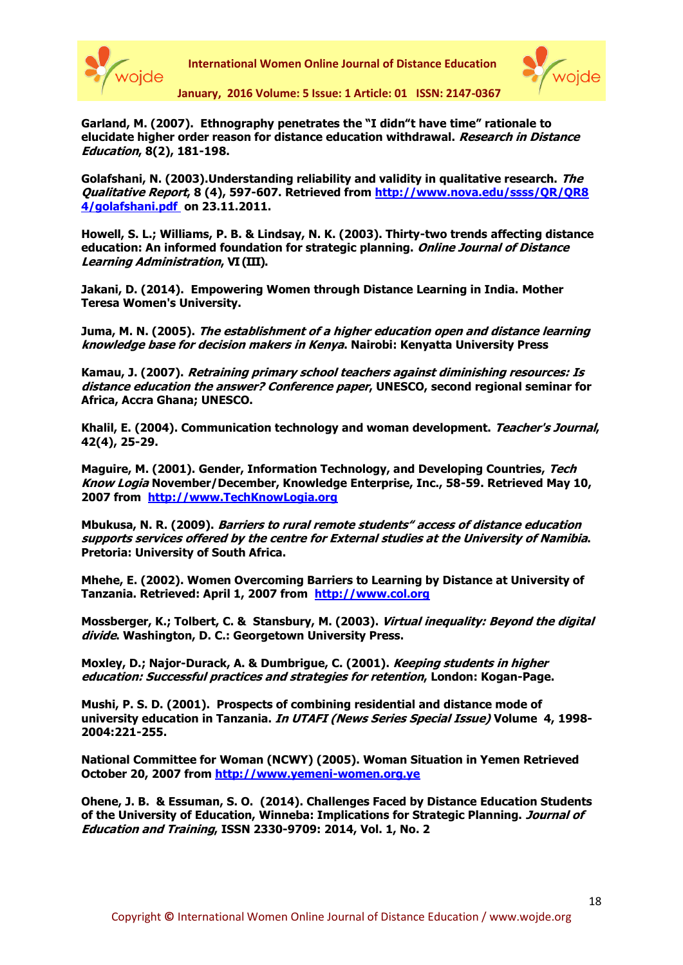



**January, 2016 Volume: 5 Issue: 1 Article: 01 ISSN: 2147-0367**

**Garland, M. (2007). Ethnography penetrates the "I didn"t have time" rationale to elucidate higher order reason for distance education withdrawal. Research in Distance Education, 8(2), 181-198.**

**Golafshani, N. (2003).Understanding reliability and validity in qualitative research. The Qualitative Report, 8 (4), 597-607. Retrieved from [http://www.nova.edu/ssss/QR/QR8](http://www.nova.edu/ssss/QR/QR8%204/golafshani.pdf)  [4/golafshani.pdf](http://www.nova.edu/ssss/QR/QR8%204/golafshani.pdf) on 23.11.2011.**

**Howell, S. L.; Williams, P. B. & Lindsay, N. K. (2003). Thirty-two trends affecting distance education: An informed foundation for strategic planning. Online Journal of Distance Learning Administration, VI (III).**

**Jakani, D. (2014). Empowering Women through Distance Learning in India. Mother Teresa Women's University.**

**Juma, M. N. (2005). The establishment of a higher education open and distance learning knowledge base for decision makers in Kenya. Nairobi: Kenyatta University Press** 

**Kamau, J. (2007). Retraining primary school teachers against diminishing resources: Is distance education the answer? Conference paper, UNESCO, second regional seminar for Africa, Accra Ghana; UNESCO.**

**Khalil, E. (2004). Communication technology and woman development. Teacher's Journal, 42(4), 25-29.**

**Maguire, M. (2001). Gender, Information Technology, and Developing Countries, Tech Know Logia November/December, Knowledge Enterprise, Inc., 58-59. Retrieved May 10, 2007 from http:/[/www.TechKnowLogia.org](http://www.techknowlogia.org/)**

**Mbukusa, N. R. (2009). Barriers to rural remote students" access of distance education supports services offered by the centre for External studies at the University of Namibia. Pretoria: University of South Africa.**

**Mhehe, E. (2002). Women Overcoming Barriers to Learning by Distance at University of Tanzania. Retrieved: April 1, 2007 from http:/[/www.col.org](http://www.col.org/)**

**Mossberger, K.; Tolbert, C. & Stansbury, M. (2003). Virtual inequality: Beyond the digital divide. Washington, D. C.: Georgetown University Press.**

**Moxley, D.; Najor-Durack, A. & Dumbrigue, C. (2001). Keeping students in higher education: Successful practices and strategies for retention, London: Kogan-Page.** 

**Mushi, P. S. D. (2001). Prospects of combining residential and distance mode of university education in Tanzania. In UTAFI (News Series Special Issue) Volume 4, 1998- 2004:221-255.**

**National Committee for Woman (NCWY) (2005). Woman Situation in Yemen Retrieved October 20, 2007 from http:/[/www.yemeni-women.org.ye](http://www.yemeni-women.org.ye/)**

**Ohene, J. B. & Essuman, S. O. (2014). Challenges Faced by Distance Education Students of the University of Education, Winneba: Implications for Strategic Planning. Journal of Education and Training, ISSN 2330-9709: 2014, Vol. 1, No. 2**